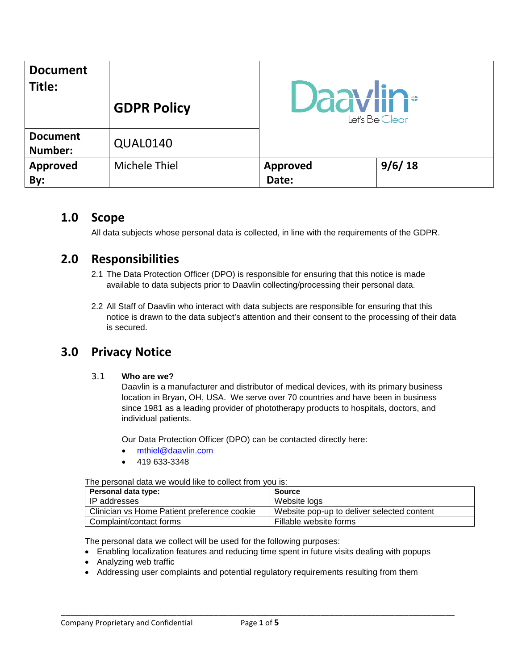| <b>Document</b><br>Title:  | <b>GDPR Policy</b>   | <b>Daavlin</b> <sup>®</sup><br>Let's Be Clear |        |
|----------------------------|----------------------|-----------------------------------------------|--------|
| <b>Document</b><br>Number: | QUAL0140             |                                               |        |
| <b>Approved</b><br>By:     | <b>Michele Thiel</b> | <b>Approved</b><br>Date:                      | 9/6/18 |

### **1.0 Scope**

All data subjects whose personal data is collected, in line with the requirements of the GDPR.

# **2.0 Responsibilities**

- 2.1 The Data Protection Officer (DPO) is responsible for ensuring that this notice is made available to data subjects prior to Daavlin collecting/processing their personal data.
- 2.2 All Staff of Daavlin who interact with data subjects are responsible for ensuring that this notice is drawn to the data subject's attention and their consent to the processing of their data is secured.

# **3.0 Privacy Notice**

3.1 **Who are we?**

Daavlin is a manufacturer and distributor of medical devices, with its primary business location in Bryan, OH, USA. We serve over 70 countries and have been in business since 1981 as a leading provider of phototherapy products to hospitals, doctors, and individual patients.

Our Data Protection Officer (DPO) can be contacted directly here:

- [mthiel@daavlin.com](mailto:mthiel@daavlin.com)
- 419 633-3348

#### The personal data we would like to collect from you is:

| Personal data type:                         | Source                                     |  |  |  |  |
|---------------------------------------------|--------------------------------------------|--|--|--|--|
| IP addresses                                | Website logs                               |  |  |  |  |
| Clinician vs Home Patient preference cookie | Website pop-up to deliver selected content |  |  |  |  |
| Complaint/contact forms                     | Fillable website forms                     |  |  |  |  |

The personal data we collect will be used for the following purposes:

- Enabling localization features and reducing time spent in future visits dealing with popups
- Analyzing web traffic
- Addressing user complaints and potential regulatory requirements resulting from them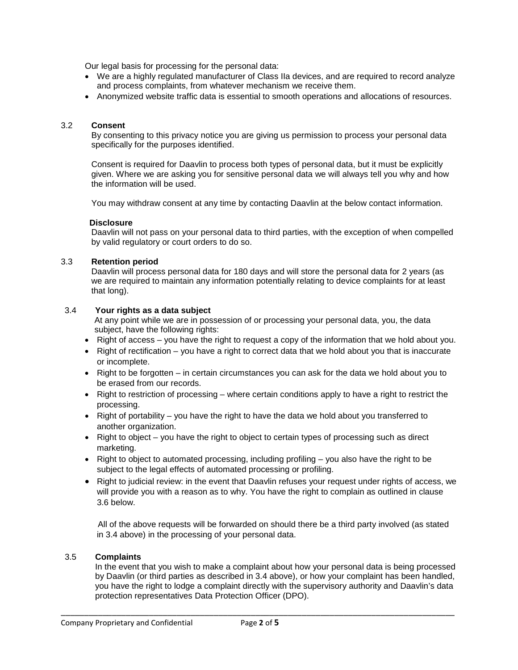Our legal basis for processing for the personal data:

- We are a highly regulated manufacturer of Class IIa devices, and are required to record analyze and process complaints, from whatever mechanism we receive them.
- Anonymized website traffic data is essential to smooth operations and allocations of resources.

#### 3.2 **Consent**

By consenting to this privacy notice you are giving us permission to process your personal data specifically for the purposes identified.

Consent is required for Daavlin to process both types of personal data, but it must be explicitly given. Where we are asking you for sensitive personal data we will always tell you why and how the information will be used.

You may withdraw consent at any time by contacting Daavlin at the below contact information.

#### **Disclosure**

Daavlin will not pass on your personal data to third parties, with the exception of when compelled by valid regulatory or court orders to do so.

#### 3.3 **Retention period**

Daavlin will process personal data for 180 days and will store the personal data for 2 years (as we are required to maintain any information potentially relating to device complaints for at least that long).

#### 3.4 **Your rights as a data subject**

At any point while we are in possession of or processing your personal data, you, the data subject, have the following rights:

- Right of access you have the right to request a copy of the information that we hold about you.
- Right of rectification you have a right to correct data that we hold about you that is inaccurate or incomplete.
- Right to be forgotten in certain circumstances you can ask for the data we hold about you to be erased from our records.
- Right to restriction of processing where certain conditions apply to have a right to restrict the processing.
- Right of portability you have the right to have the data we hold about you transferred to another organization.
- Right to object you have the right to object to certain types of processing such as direct marketing.
- Right to object to automated processing, including profiling  $-$  you also have the right to be subject to the legal effects of automated processing or profiling.
- Right to judicial review: in the event that Daavlin refuses your request under rights of access, we will provide you with a reason as to why. You have the right to complain as outlined in clause 3.6 below.

All of the above requests will be forwarded on should there be a third party involved (as stated in 3.4 above) in the processing of your personal data.

#### 3.5 **Complaints**

In the event that you wish to make a complaint about how your personal data is being processed by Daavlin (or third parties as described in 3.4 above), or how your complaint has been handled, you have the right to lodge a complaint directly with the supervisory authority and Daavlin's data protection representatives Data Protection Officer (DPO).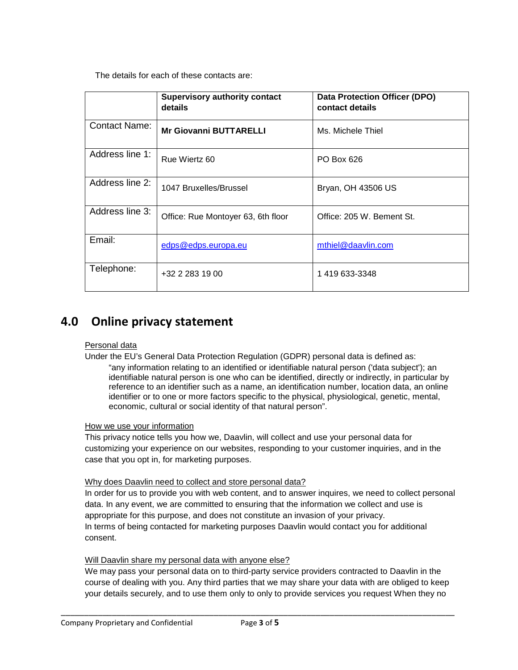The details for each of these contacts are:

|                      | <b>Supervisory authority contact</b><br>details | <b>Data Protection Officer (DPO)</b><br>contact details |
|----------------------|-------------------------------------------------|---------------------------------------------------------|
| <b>Contact Name:</b> | <b>Mr Giovanni BUTTARELLI</b>                   | Ms. Michele Thiel                                       |
| Address line 1:      | Rue Wiertz 60                                   | PO Box 626                                              |
| Address line 2:      | 1047 Bruxelles/Brussel                          | Bryan, OH 43506 US                                      |
| Address line 3:      | Office: Rue Montoyer 63, 6th floor              | Office: 205 W. Bement St.                               |
| Email:               | edps@edps.europa.eu                             | mthiel@daavlin.com                                      |
| Telephone:           | +32 2 283 19 00                                 | 1 419 633-3348                                          |

### **4.0 Online privacy statement**

#### Personal data

Under the EU's General Data Protection Regulation (GDPR) personal data is defined as: "any information relating to an identified or identifiable natural person ('data subject'); an identifiable natural person is one who can be identified, directly or indirectly, in particular by reference to an identifier such as a name, an identification number, location data, an online identifier or to one or more factors specific to the physical, physiological, genetic, mental, economic, cultural or social identity of that natural person".

#### How we use your information

This privacy notice tells you how we, Daavlin, will collect and use your personal data for customizing your experience on our websites, responding to your customer inquiries, and in the case that you opt in, for marketing purposes.

#### Why does Daavlin need to collect and store personal data?

In order for us to provide you with web content, and to answer inquires, we need to collect personal data. In any event, we are committed to ensuring that the information we collect and use is appropriate for this purpose, and does not constitute an invasion of your privacy. In terms of being contacted for marketing purposes Daavlin would contact you for additional consent.

#### Will Daavlin share my personal data with anyone else?

We may pass your personal data on to third-party service providers contracted to Daavlin in the course of dealing with you. Any third parties that we may share your data with are obliged to keep your details securely, and to use them only to only to provide services you request When they no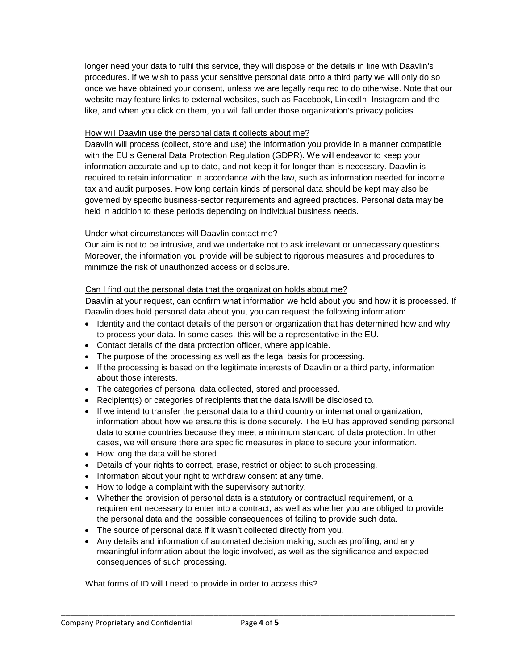longer need your data to fulfil this service, they will dispose of the details in line with Daavlin's procedures. If we wish to pass your sensitive personal data onto a third party we will only do so once we have obtained your consent, unless we are legally required to do otherwise. Note that our website may feature links to external websites, such as Facebook, LinkedIn, Instagram and the like, and when you click on them, you will fall under those organization's privacy policies.

#### How will Daavlin use the personal data it collects about me?

Daavlin will process (collect, store and use) the information you provide in a manner compatible with the EU's General Data Protection Regulation (GDPR). We will endeavor to keep your information accurate and up to date, and not keep it for longer than is necessary. Daavlin is required to retain information in accordance with the law, such as information needed for income tax and audit purposes. How long certain kinds of personal data should be kept may also be governed by specific business-sector requirements and agreed practices. Personal data may be held in addition to these periods depending on individual business needs.

#### Under what circumstances will Daavlin contact me?

Our aim is not to be intrusive, and we undertake not to ask irrelevant or unnecessary questions. Moreover, the information you provide will be subject to rigorous measures and procedures to minimize the risk of unauthorized access or disclosure.

#### Can I find out the personal data that the organization holds about me?

Daavlin at your request, can confirm what information we hold about you and how it is processed. If Daavlin does hold personal data about you, you can request the following information:

- Identity and the contact details of the person or organization that has determined how and why to process your data. In some cases, this will be a representative in the EU.
- Contact details of the data protection officer, where applicable.
- The purpose of the processing as well as the legal basis for processing.
- If the processing is based on the legitimate interests of Daavlin or a third party, information about those interests.
- The categories of personal data collected, stored and processed.
- Recipient(s) or categories of recipients that the data is/will be disclosed to.
- If we intend to transfer the personal data to a third country or international organization, information about how we ensure this is done securely. The EU has approved sending personal data to some countries because they meet a minimum standard of data protection. In other cases, we will ensure there are specific measures in place to secure your information.
- How long the data will be stored.
- Details of your rights to correct, erase, restrict or object to such processing.
- Information about your right to withdraw consent at any time.
- How to lodge a complaint with the supervisory authority.
- Whether the provision of personal data is a statutory or contractual requirement, or a requirement necessary to enter into a contract, as well as whether you are obliged to provide the personal data and the possible consequences of failing to provide such data.
- The source of personal data if it wasn't collected directly from you.
- Any details and information of automated decision making, such as profiling, and any meaningful information about the logic involved, as well as the significance and expected consequences of such processing.

#### What forms of ID will I need to provide in order to access this?